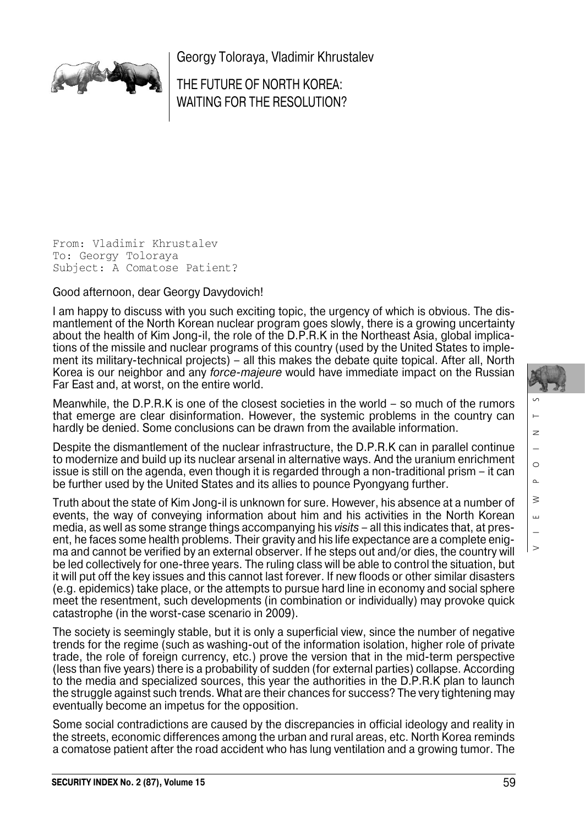

Georgy Toloraya, Vladimir Khrustalev

THE FUTURE OF NORTH KOREA: WAITING FOR THE RESOLUTION?

From: Vladimir Khrustalev To: Georgy Toloraya Subject: A Comatose Patient?

# Good afternoon, dear Georgy Davydovich!

I am happy to discuss with you such exciting topic, the urgency of which is obvious. The dis mantlement of the North Korean nuclear program goes slowly, there is a growing uncertainty about the health of Kim Jong-il, the role of the D.P.R.K in the Northeast Asia, global implications of the missile and nuclear programs of this country (used by the United States to imple ment its military-technical projects) – all this makes the debate quite topical. After all, North Korea is our neighbor and any *force-majeure* would have immediate impact on the Russian Far East and, at worst, on the entire world.

Meanwhile, the D.P.R.K is one of the closest societies in the world – so much of the rumors that emerge are clear disinformation. However, the systemic problems in the country can hardly be denied. Some conclusions can be drawn from the available information.

Despite the dismantlement of the nuclear infrastructure, the D.P.R.K can in parallel continue to modernize and build up its nuclear arsenal in alternative ways. And the uranium enrichment issue is still on the agenda, even though it is regarded through a non-traditional prism – it can be further used by the United States and its allies to pounce Pyongyang further.

Truth about the state of Kim Jong-il is unknown for sure. However, his absence at a number of events, the way of conveying information about him and his activities in the North Korean media, as well as some strange things accompanying his *visits* – all this indicates that, at pres ent, he faces some health problems. Their gravity and his life expectance are a complete enig ma and cannot be verified by an external observer. If he steps out and/or dies, the country will be led collectively for one-three years. The ruling class will be able to control the situation, but it will put off the key issues and this cannot last forever. If new floods or other similar disasters (e.g. epidemics) take place, or the attempts to pursue hard line in economy and social sphere meet the resentment, such developments (in combination or individually) may provoke quick catastrophe (in the worst-case scenario in 2009).

The society is seemingly stable, but it is only a superficial view, since the number of negative trends for the regime (such as washing-out of the information isolation, higher role of private trade, the role of foreign currency, etc.) prove the version that in the mid-term perspective (less than five years) there is a probability of sudden (for external parties) collapse. According to the media and specialized sources, this year the authorities in the D.P.R.K plan to launch the struggle against such trends. What are their chances for success? The very tightening may eventually become an impetus for the opposition.

Some social contradictions are caused by the discrepancies in official ideology and reality in the streets, economic differences among the urban and rural areas, etc. North Korea reminds a comatose patient after the road accident who has lung ventilation and a growing tumor. The

S I N N N N N N N N N N N N N N N N N  $\overline{z}$  $\circ$  $\Delta$  $\leq$ ш  $\overline{\phantom{0}}$  $\overline{\phantom{a}}$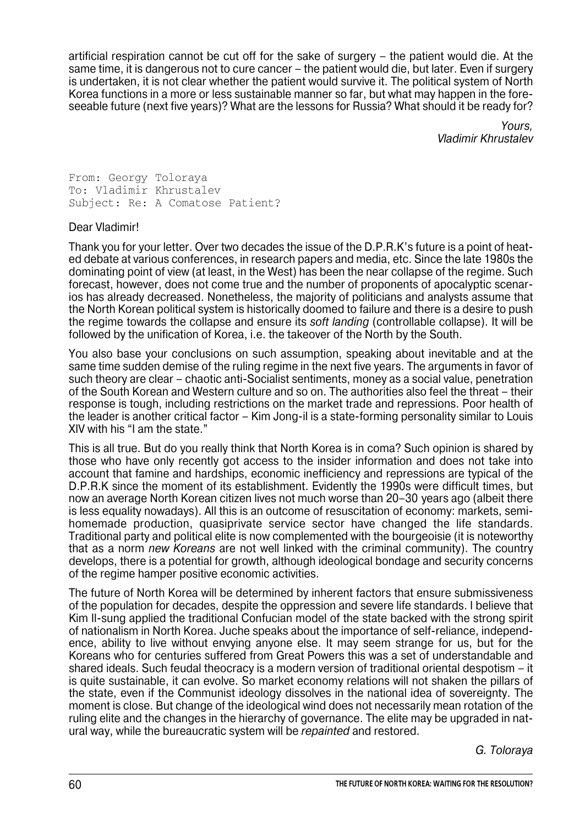artificial respiration cannot be cut off for the sake of surgery – the patient would die. At the same time, it is dangerous not to cure cancer – the patient would die, but later. Even if surgery is undertaken, it is not clear whether the patient would survive it. The political system of North Korea functions in a more or less sustainable manner so far, but what may happen in the foreseeable future (next five years)? What are the lessons for Russia? What should it be ready for?

> *Yours, Vladimir Khrustalev*

From: Georgy Toloraya To: Vladimir Khrustalev Subject: Re: A Comatose Patient?

## Dear Vladimir!

Thank you for your letter. Over two decades the issue of the D.P.R.K's future is a point of heated debate at various conferences, in research papers and media, etc. Since the late 1980s the dominating point of view (at least, in the West) has been the near collapse of the regime. Such forecast, however, does not come true and the number of proponents of apocalyptic scenarios has already decreased. Nonetheless, the majority of politicians and analysts assume that the North Korean political system is historically doomed to failure and there is a desire to push the regime towards the collapse and ensure its *soft landing* (controllable collapse). It will be followed by the unification of Korea, i.e. the takeover of the North by the South.

You also base your conclusions on such assumption, speaking about inevitable and at the same time sudden demise of the ruling regime in the next five years. The arguments in favor of such theory are clear – chaotic anti-Socialist sentiments, money as a social value, penetration of the South Korean and Western culture and so on. The authorities also feel the threat – their response is tough, including restrictions on the market trade and repressions. Poor health of the leader is another critical factor – Kim Jong-il is a state-forming personality similar to Louis XIV with his "I am the state."

This is all true. But do you really think that North Korea is in coma? Such opinion is shared by those who have only recently got access to the insider information and does not take into account that famine and hardships, economic inefficiency and repressions are typical of the D.P.R.K since the moment of its establishment. Evidently the 1990s were difficult times, but now an average North Korean citizen lives not much worse than 20–30 years ago (albeit there is less equality nowadays). All this is an outcome of resuscitation of economy: markets, semi homemade production, quasiprivate service sector have changed the life standards. Traditional party and political elite is now complemented with the bourgeoisie (it is noteworthy that as a norm *new Koreans* are not well linked with the criminal community). The country develops, there is a potential for growth, although ideological bondage and security concerns of the regime hamper positive economic activities.

The future of North Korea will be determined by inherent factors that ensure submissiveness of the population for decades, despite the oppression and severe life standards. I believe that Kim Il-sung applied the traditional Confucian model of the state backed with the strong spirit of nationalism in North Korea. Juche speaks about the importance of self-reliance, independ ence, ability to live without envying anyone else. It may seem strange for us, but for the Koreans who for centuries suffered from Great Powers this was a set of understandable and shared ideals. Such feudal theocracy is a modern version of traditional oriental despotism – it is quite sustainable, it can evolve. So market economy relations will not shaken the pillars of the state, even if the Communist ideology dissolves in the national idea of sovereignty. The moment is close. But change of the ideological wind does not necessarily mean rotation of the ruling elite and the changes in the hierarchy of governance. The elite may be upgraded in nat ural way, while the bureaucratic system will be *repainted* and restored.

*G. Toloraya*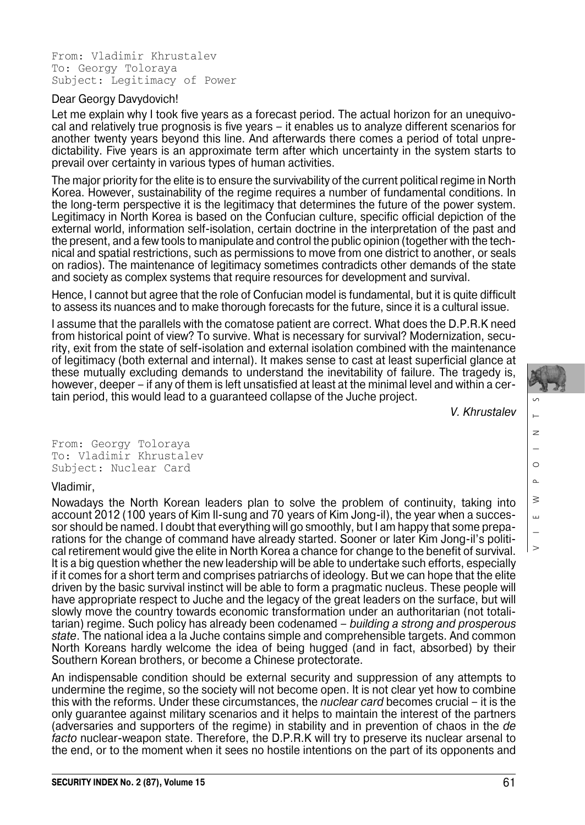From: Vladimir Khrustalev To: Georgy Toloraya Subject: Legitimacy of Power

#### Dear Georgy Davydovich!

Let me explain why I took five years as a forecast period. The actual horizon for an unequivo cal and relatively true prognosis is five years – it enables us to analyze different scenarios for another twenty years beyond this line. And afterwards there comes a period of total unpredictability. Five years is an approximate term after which uncertainty in the system starts to prevail over certainty in various types of human activities.

The major priority for the elite is to ensure the survivability of the current political regime in North Korea. However, sustainability of the regime requires a number of fundamental conditions. In the long-term perspective it is the legitimacy that determines the future of the power system. Legitimacy in North Korea is based on the Confucian culture, specific official depiction of the external world, information self-isolation, certain doctrine in the interpretation of the past and the present, and a few tools to manipulate and control the public opinion (together with the tech nical and spatial restrictions, such as permissions to move from one district to another, or seals on radios). The maintenance of legitimacy sometimes contradicts other demands of the state and society as complex systems that require resources for development and survival.

Hence, I cannot but agree that the role of Confucian model is fundamental, but it is quite difficult to assess its nuances and to make thorough forecasts for the future, since it is a cultural issue.

I assume that the parallels with the comatose patient are correct. What does the D.P.R.K need from historical point of view? To survive. What is necessary for survival? Modernization, security, exit from the state of self-isolation and external isolation combined with the maintenance of legitimacy (both external and internal). It makes sense to cast at least superficial glance at these mutually excluding demands to understand the inevitability of failure. The tragedy is, however, deeper – if any of them is left unsatisfied at least at the minimal level and within a cer tain period, this would lead to a guaranteed collapse of the Juche project.

*V. Khrustalev*

From: Georgy Toloraya To: Vladimir Khrustalev Subject: Nuclear Card

### Vladimir,

Nowadays the North Korean leaders plan to solve the problem of continuity, taking into account 2012 (100 years of Kim Il-sung and 70 years of Kim Jong-il), the year when a successor should be named. I doubt that everything will go smoothly, but I am happy that some prepa rations for the change of command have already started. Sooner or later Kim Jong-il's politi cal retirement would give the elite in North Korea a chance for change to the benefit of survival. It is a big question whether the new leadership will be able to undertake such efforts, especially if it comes for a short term and comprises patriarchs of ideology. But we can hope that the elite driven by the basic survival instinct will be able to form a pragmatic nucleus. These people will have appropriate respect to Juche and the legacy of the great leaders on the surface, but will slowly move the country towards economic transformation under an authoritarian (not totalitarian) regime. Such policy has already been codenamed – *building a strong and prosperous state*. The national idea a la Juche contains simple and comprehensible targets. And common North Koreans hardly welcome the idea of being hugged (and in fact, absorbed) by their Southern Korean brothers, or become a Chinese protectorate.

An indispensable condition should be external security and suppression of any attempts to undermine the regime, so the society will not become open. It is not clear yet how to combine this with the reforms. Under these circumstances, the *nuclear card* becomes crucial – it is the only guarantee against military scenarios and it helps to maintain the interest of the partners (adversaries and supporters of the regime) in stability and in prevention of chaos in the *de facto* nuclear-weapon state. Therefore, the D.P.R.K will try to preserve its nuclear arsenal to the end, or to the moment when it sees no hostile intentions on the part of its opponents and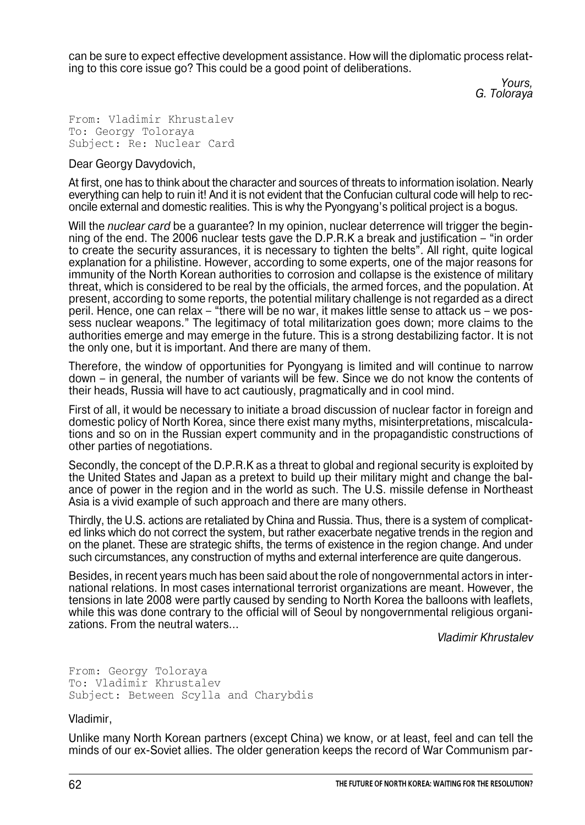can be sure to expect effective development assistance. How will the diplomatic process relat ing to this core issue go? This could be a good point of deliberations.

> *Yours, G. Toloraya*

From: Vladimir Khrustalev To: Georgy Toloraya Subject: Re: Nuclear Card

### Dear Georgy Davydovich,

At first, one has to think about the character and sources of threats to information isolation. Nearly everything can help to ruin it! And it is not evident that the Confucian cultural code will help to reconcile external and domestic realities. This is why the Pyongyang's political project is a bogus.

Will the *nuclear card* be a guarantee? In my opinion, nuclear deterrence will trigger the beginning of the end. The 2006 nuclear tests gave the D.P.R.K a break and justification – "in order to create the security assurances, it is necessary to tighten the belts". All right, quite logical explanation for a philistine. However, according to some experts, one of the major reasons for immunity of the North Korean authorities to corrosion and collapse is the existence of military threat, which is considered to be real by the officials, the armed forces, and the population. At present, according to some reports, the potential military challenge is not regarded as a direct peril. Hence, one can relax – "there will be no war, it makes little sense to attack us – we pos sess nuclear weapons." The legitimacy of total militarization goes down; more claims to the authorities emerge and may emerge in the future. This is a strong destabilizing factor. It is not the only one, but it is important. And there are many of them.

Therefore, the window of opportunities for Pyongyang is limited and will continue to narrow down – in general, the number of variants will be few. Since we do not know the contents of their heads, Russia will have to act cautiously, pragmatically and in cool mind.

First of all, it would be necessary to initiate a broad discussion of nuclear factor in foreign and domestic policy of North Korea, since there exist many myths, misinterpretations, miscalcula tions and so on in the Russian expert community and in the propagandistic constructions of other parties of negotiations.

Secondly, the concept of the D.P.R.K as a threat to global and regional security is exploited by the United States and Japan as a pretext to build up their military might and change the bal ance of power in the region and in the world as such. The U.S. missile defense in Northeast Asia is a vivid example of such approach and there are many others.

Thirdly, the U.S. actions are retaliated by China and Russia. Thus, there is a system of complicat ed links which do not correct the system, but rather exacerbate negative trends in the region and on the planet. These are strategic shifts, the terms of existence in the region change. And under such circumstances, any construction of myths and external interference are quite dangerous.

Besides, in recent years much has been said about the role of nongovernmental actors in inter national relations. In most cases international terrorist organizations are meant. However, the tensions in late 2008 were partly caused by sending to North Korea the balloons with leaflets, while this was done contrary to the official will of Seoul by nongovernmental religious organi zations. From the neutral waters…

*Vladimir Khrustalev*

From: Georgy Toloraya To: Vladimir Khrustalev Subject: Between Scylla and Charybdis

Vladimir,

Unlike many North Korean partners (except China) we know, or at least, feel and can tell the minds of our ex-Soviet allies. The older generation keeps the record of War Communism par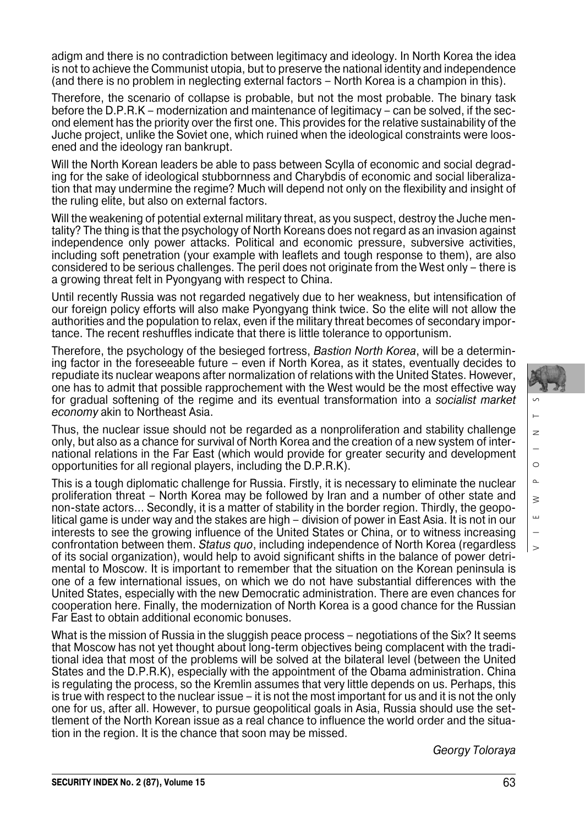adigm and there is no contradiction between legitimacy and ideology. In North Korea the idea is not to achieve the Communist utopia, but to preserve the national identity and independence (and there is no problem in neglecting external factors – North Korea is a champion in this).

Therefore, the scenario of collapse is probable, but not the most probable. The binary task before the D.P.R.K – modernization and maintenance of legitimacy – can be solved, if the sec ond element has the priority over the first one. This provides for the relative sustainability of the Juche project, unlike the Soviet one, which ruined when the ideological constraints were loosened and the ideology ran bankrupt.

Will the North Korean leaders be able to pass between Scylla of economic and social degrading for the sake of ideological stubbornness and Charybdis of economic and social liberaliza tion that may undermine the regime? Much will depend not only on the flexibility and insight of the ruling elite, but also on external factors.

Will the weakening of potential external military threat, as you suspect, destroy the Juche men tality? The thing is that the psychology of North Koreans does not regard as an invasion against independence only power attacks. Political and economic pressure, subversive activities, including soft penetration (your example with leaflets and tough response to them), are also considered to be serious challenges. The peril does not originate from the West only – there is a growing threat felt in Pyongyang with respect to China.

Until recently Russia was not regarded negatively due to her weakness, but intensification of our foreign policy efforts will also make Pyongyang think twice. So the elite will not allow the authorities and the population to relax, even if the military threat becomes of secondary impor tance. The recent reshuffles indicate that there is little tolerance to opportunism.

Therefore, the psychology of the besieged fortress, *Bastion North Korea*, will be a determin ing factor in the foreseeable future – even if North Korea, as it states, eventually decides to repudiate its nuclear weapons after normalization of relations with the United States. However, one has to admit that possible rapprochement with the West would be the most effective way for gradual softening of the regime and its eventual transformation into a *socialist market economy* akin to Northeast Asia.

Thus, the nuclear issue should not be regarded as a nonproliferation and stability challenge only, but also as a chance for survival of North Korea and the creation of a new system of international relations in the Far East (which would provide for greater security and development opportunities for all regional players, including the D.P.R.K).

This is a tough diplomatic challenge for Russia. Firstly, it is necessary to eliminate the nuclear proliferation threat – North Korea may be followed by Iran and a number of other state and non-state actors… Secondly, it is a matter of stability in the border region. Thirdly, the geopo litical game is under way and the stakes are high – division of power in East Asia. It is not in our interests to see the growing influence of the United States or China, or to witness increasing confrontation between them. *Status quo*, including independence of North Korea (regardless of its social organization), would help to avoid significant shifts in the balance of power detri mental to Moscow. It is important to remember that the situation on the Korean peninsula is one of a few international issues, on which we do not have substantial differences with the United States, especially with the new Democratic administration. There are even chances for cooperation here. Finally, the modernization of North Korea is a good chance for the Russian Far East to obtain additional economic bonuses.

What is the mission of Russia in the sluggish peace process – negotiations of the Six? It seems that Moscow has not yet thought about long-term objectives being complacent with the tradi tional idea that most of the problems will be solved at the bilateral level (between the United States and the D.P.R.K), especially with the appointment of the Obama administration. China is regulating the process, so the Kremlin assumes that very little depends on us. Perhaps, this is true with respect to the nuclear issue – it is not the most important for us and it is not the only one for us, after all. However, to pursue geopolitical goals in Asia, Russia should use the set tlement of the North Korean issue as a real chance to influence the world order and the situa tion in the region. It is the chance that soon may be missed.

*Georgy Toloraya*

VIEWPOINTS

 $\circ$  $\Delta$  $\leq$ Ш

 $\overline{z}$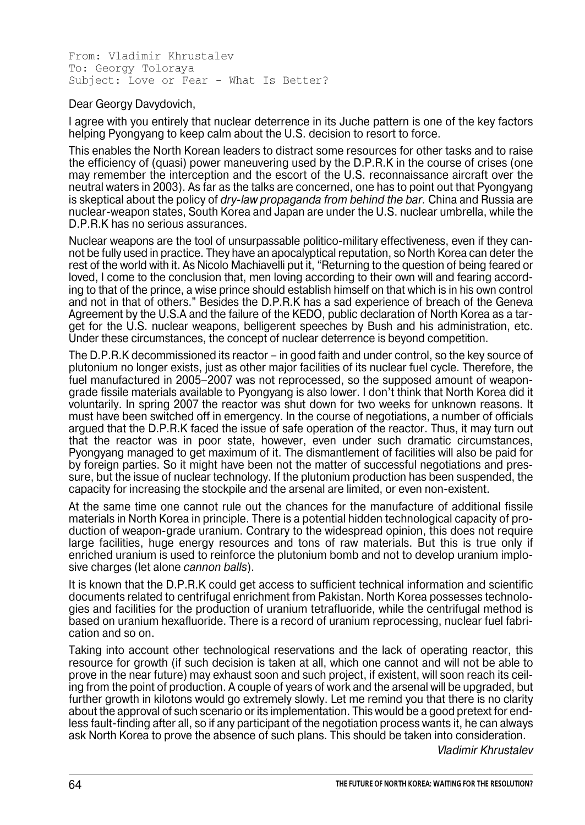From: Vladimir Khrustalev To: Georgy Toloraya Subject: Love or Fear – What Is Better?

## Dear Georgy Davydovich,

I agree with you entirely that nuclear deterrence in its Juche pattern is one of the key factors helping Pyongyang to keep calm about the U.S. decision to resort to force.

This enables the North Korean leaders to distract some resources for other tasks and to raise the efficiency of (quasi) power maneuvering used by the D.P.R.K in the course of crises (one may remember the interception and the escort of the U.S. reconnaissance aircraft over the neutral waters in 2003). As far as the talks are concerned, one has to point out that Pyongyang is skeptical about the policy of *dry-law propaganda from behind the bar.* China and Russia are nuclear-weapon states, South Korea and Japan are under the U.S. nuclear umbrella, while the D.P.R.K has no serious assurances.

Nuclear weapons are the tool of unsurpassable politico-military effectiveness, even if they cannot be fully used in practice. They have an apocalyptical reputation, so North Korea can deter the rest of the world with it. As Nicolo Machiavelli put it, "Returning to the question of being feared or loved, I come to the conclusion that, men loving according to their own will and fearing according to that of the prince, a wise prince should establish himself on that which is in his own control and not in that of others." Besides the D.P.R.K has a sad experience of breach of the Geneva Agreement by the U.S.A and the failure of the KEDO, public declaration of North Korea as a tar get for the U.S. nuclear weapons, belligerent speeches by Bush and his administration, etc. Under these circumstances, the concept of nuclear deterrence is beyond competition.

The D.P.R.K decommissioned its reactor – in good faith and under control, so the key source of plutonium no longer exists, just as other major facilities of its nuclear fuel cycle. Therefore, the fuel manufactured in 2005–2007 was not reprocessed, so the supposed amount of weapon grade fissile materials available to Pyongyang is also lower. I don't think that North Korea did it voluntarily. In spring 2007 the reactor was shut down for two weeks for unknown reasons. It must have been switched off in emergency. In the course of negotiations, a number of officials argued that the D.P.R.K faced the issue of safe operation of the reactor. Thus, it may turn out that the reactor was in poor state, however, even under such dramatic circumstances, Pyongyang managed to get maximum of it. The dismantlement of facilities will also be paid for by foreign parties. So it might have been not the matter of successful negotiations and pressure, but the issue of nuclear technology. If the plutonium production has been suspended, the capacity for increasing the stockpile and the arsenal are limited, or even non-existent.

At the same time one cannot rule out the chances for the manufacture of additional fissile materials in North Korea in principle. There is a potential hidden technological capacity of pro duction of weapon-grade uranium. Contrary to the widespread opinion, this does not require large facilities, huge energy resources and tons of raw materials. But this is true only if enriched uranium is used to reinforce the plutonium bomb and not to develop uranium implo sive charges (let alone *cannon balls*).

It is known that the D.P.R.K could get access to sufficient technical information and scientific documents related to centrifugal enrichment from Pakistan. North Korea possesses technolo gies and facilities for the production of uranium tetrafluoride, while the centrifugal method is based on uranium hexafluoride. There is a record of uranium reprocessing, nuclear fuel fabri cation and so on.

Taking into account other technological reservations and the lack of operating reactor, this resource for growth (if such decision is taken at all, which one cannot and will not be able to prove in the near future) may exhaust soon and such project, if existent, will soon reach its ceil ing from the point of production. A couple of years of work and the arsenal will be upgraded, but further growth in kilotons would go extremely slowly. Let me remind you that there is no clarity about the approval of such scenario or its implementation. This would be a good pretext for end less fault-finding after all, so if any participant of the negotiation process wants it, he can always ask North Korea to prove the absence of such plans. This should be taken into consideration.

*Vladimir Khrustalev*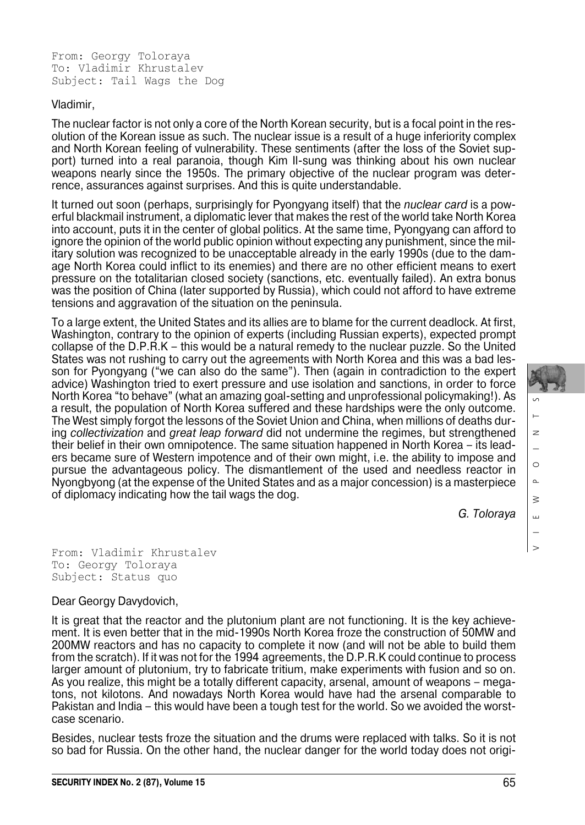From: Georgy Toloraya To: Vladimir Khrustalev Subject: Tail Wags the Dog

### Vladimir,

The nuclear factor is not only a core of the North Korean security, but is a focal point in the res olution of the Korean issue as such. The nuclear issue is a result of a huge inferiority complex and North Korean feeling of vulnerability. These sentiments (after the loss of the Soviet sup port) turned into a real paranoia, though Kim Il-sung was thinking about his own nuclear weapons nearly since the 1950s. The primary objective of the nuclear program was deter rence, assurances against surprises. And this is quite understandable.

It turned out soon (perhaps, surprisingly for Pyongyang itself) that the *nuclear card* is a pow erful blackmail instrument, a diplomatic lever that makes the rest of the world take North Korea into account, puts it in the center of global politics. At the same time, Pyongyang can afford to ignore the opinion of the world public opinion without expecting any punishment, since the military solution was recognized to be unacceptable already in the early 1990s (due to the dam age North Korea could inflict to its enemies) and there are no other efficient means to exert pressure on the totalitarian closed society (sanctions, etc. eventually failed). An extra bonus was the position of China (later supported by Russia), which could not afford to have extreme tensions and aggravation of the situation on the peninsula.

To a large extent, the United States and its allies are to blame for the current deadlock. At first, Washington, contrary to the opinion of experts (including Russian experts), expected prompt collapse of the D.P.R.K – this would be a natural remedy to the nuclear puzzle. So the United States was not rushing to carry out the agreements with North Korea and this was a bad les son for Pyongyang ("we can also do the same"). Then (again in contradiction to the expert advice) Washington tried to exert pressure and use isolation and sanctions, in order to force North Korea "to behave" (what an amazing goal-setting and unprofessional policymaking!). As a result, the population of North Korea suffered and these hardships were the only outcome. The West simply forgot the lessons of the Soviet Union and China, when millions of deaths during *collectivization* and *great leap forward* did not undermine the regimes, but strengthened their belief in their own omnipotence. The same situation happened in North Korea – its leaders became sure of Western impotence and of their own might, i.e. the ability to impose and pursue the advantageous policy. The dismantlement of the used and needless reactor in Nyongbyong (at the expense of the United States and as a major concession) is a masterpiece of diplomacy indicating how the tail wags the dog.

*G. Toloraya*

VIEWPOINTS

 $\overline{\phantom{0}}$ 

 $\circ$  $\sim$  $\leq$ ш

 $\overline{z}$ 

From: Vladimir Khrustalev To: Georgy Toloraya Subject: Status quo

### Dear Georgy Davydovich,

It is great that the reactor and the plutonium plant are not functioning. It is the key achieve ment. It is even better that in the mid-1990s North Korea froze the construction of 50MW and 200MW reactors and has no capacity to complete it now (and will not be able to build them from the scratch). If it was not for the 1994 agreements, the D.P.R.K could continue to process larger amount of plutonium, try to fabricate tritium, make experiments with fusion and so on. As you realize, this might be a totally different capacity, arsenal, amount of weapons – mega tons, not kilotons. And nowadays North Korea would have had the arsenal comparable to Pakistan and India – this would have been a tough test for the world. So we avoided the worst case scenario.

Besides, nuclear tests froze the situation and the drums were replaced with talks. So it is not so bad for Russia. On the other hand, the nuclear danger for the world today does not origi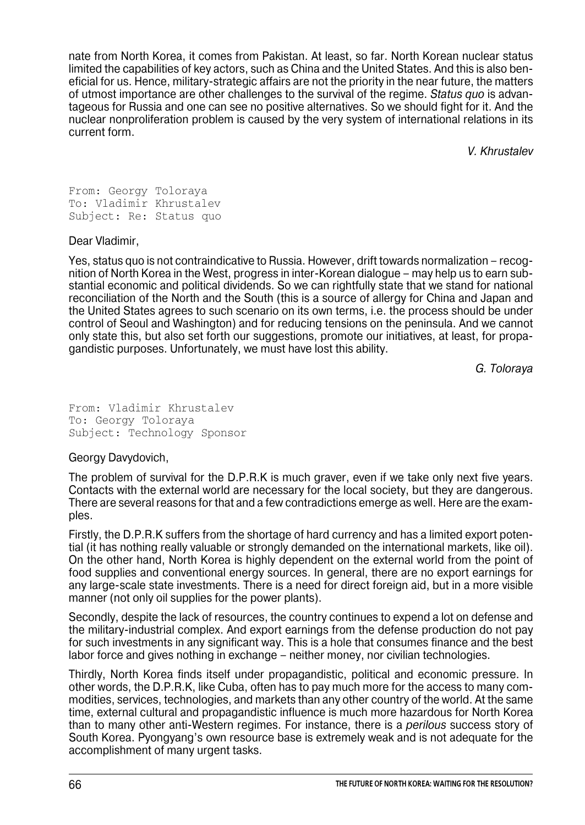nate from North Korea, it comes from Pakistan. At least, so far. North Korean nuclear status limited the capabilities of key actors, such as China and the United States. And this is also ben eficial for us. Hence, military-strategic affairs are not the priority in the near future, the matters of utmost importance are other challenges to the survival of the regime. *Status quo* is advantageous for Russia and one can see no positive alternatives. So we should fight for it. And the nuclear nonproliferation problem is caused by the very system of international relations in its current form.

*V. Khrustalev*

From: Georgy Toloraya To: Vladimir Khrustalev Subject: Re: Status quo

Dear Vladimir,

Yes, status quo is not contraindicative to Russia. However, drift towards normalization – recog nition of North Korea in the West, progress in inter-Korean dialogue – may help us to earn sub stantial economic and political dividends. So we can rightfully state that we stand for national reconciliation of the North and the South (this is a source of allergy for China and Japan and the United States agrees to such scenario on its own terms, i.e. the process should be under control of Seoul and Washington) and for reducing tensions on the peninsula. And we cannot only state this, but also set forth our suggestions, promote our initiatives, at least, for propa gandistic purposes. Unfortunately, we must have lost this ability.

*G. Toloraya*

From: Vladimir Khrustalev To: Georgy Toloraya Subject: Technology Sponsor

# Georgy Davydovich,

The problem of survival for the D.P.R.K is much graver, even if we take only next five years. Contacts with the external world are necessary for the local society, but they are dangerous. There are several reasons for that and a few contradictions emerge as well. Here are the exam ples.

Firstly, the D.P.R.K suffers from the shortage of hard currency and has a limited export potential (it has nothing really valuable or strongly demanded on the international markets, like oil). On the other hand, North Korea is highly dependent on the external world from the point of food supplies and conventional energy sources. In general, there are no export earnings for any large-scale state investments. There is a need for direct foreign aid, but in a more visible manner (not only oil supplies for the power plants).

Secondly, despite the lack of resources, the country continues to expend a lot on defense and the military-industrial complex. And export earnings from the defense production do not pay for such investments in any significant way. This is a hole that consumes finance and the best labor force and gives nothing in exchange – neither money, nor civilian technologies.

Thirdly, North Korea finds itself under propagandistic, political and economic pressure. In other words, the D.P.R.K, like Cuba, often has to pay much more for the access to many commodities, services, technologies, and markets than any other country of the world. At the same time, external cultural and propagandistic influence is much more hazardous for North Korea than to many other anti-Western regimes. For instance, there is a *perilous* success story of South Korea. Pyongyang's own resource base is extremely weak and is not adequate for the accomplishment of many urgent tasks.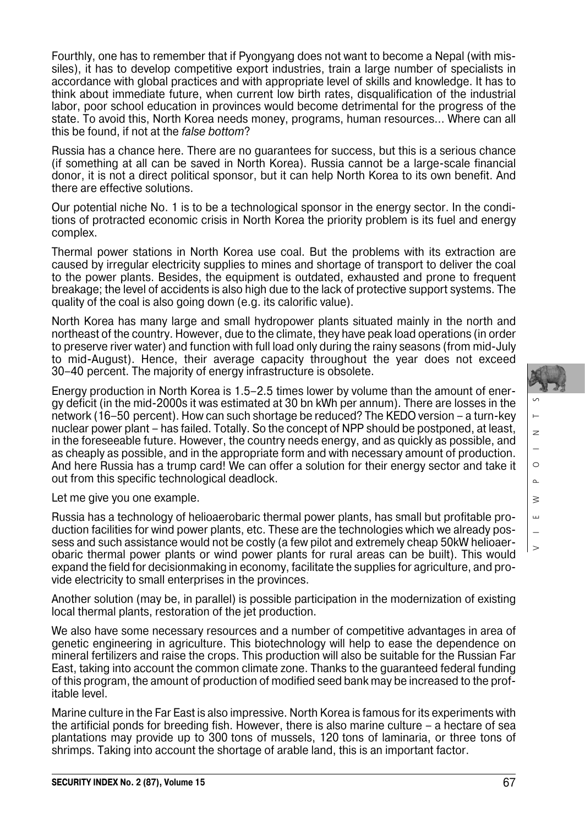Fourthly, one has to remember that if Pyongyang does not want to become a Nepal (with mis siles), it has to develop competitive export industries, train a large number of specialists in accordance with global practices and with appropriate level of skills and knowledge. It has to think about immediate future, when current low birth rates, disqualification of the industrial labor, poor school education in provinces would become detrimental for the progress of the state. To avoid this, North Korea needs money, programs, human resources… Where can all this be found, if not at the *false bottom*?

Russia has a chance here. There are no guarantees for success, but this is a serious chance (if something at all can be saved in North Korea). Russia cannot be a large-scale financial donor, it is not a direct political sponsor, but it can help North Korea to its own benefit. And there are effective solutions.

Our potential niche No. 1 is to be a technological sponsor in the energy sector. In the condi tions of protracted economic crisis in North Korea the priority problem is its fuel and energy complex.

Thermal power stations in North Korea use coal. But the problems with its extraction are caused by irregular electricity supplies to mines and shortage of transport to deliver the coal to the power plants. Besides, the equipment is outdated, exhausted and prone to frequent breakage; the level of accidents is also high due to the lack of protective support systems. The quality of the coal is also going down (e.g. its calorific value).

North Korea has many large and small hydropower plants situated mainly in the north and northeast of the country. However, due to the climate, they have peak load operations (in order to preserve river water) and function with full load only during the rainy seasons (from mid-July to mid-August). Hence, their average capacity throughout the year does not exceed 30–40 percent. The majority of energy infrastructure is obsolete.

Energy production in North Korea is 1.5–2.5 times lower by volume than the amount of energy deficit (in the mid-2000s it was estimated at 30 bn kWh per annum). There are losses in the network (16–50 percent). How can such shortage be reduced? The KEDO version – a turn-key nuclear power plant – has failed. Totally. So the concept of NPP should be postponed, at least, in the foreseeable future. However, the country needs energy, and as quickly as possible, and as cheaply as possible, and in the appropriate form and with necessary amount of production. And here Russia has a trump card! We can offer a solution for their energy sector and take it out from this specific technological deadlock.

Let me give you one example.

Russia has a technology of helioaerobaric thermal power plants, has small but profitable pro duction facilities for wind power plants, etc. These are the technologies which we already pos sess and such assistance would not be costly (a few pilot and extremely cheap 50kW helioaer obaric thermal power plants or wind power plants for rural areas can be built). This would expand the field for decisionmaking in economy, facilitate the supplies for agriculture, and pro vide electricity to small enterprises in the provinces.

Another solution (may be, in parallel) is possible participation in the modernization of existing local thermal plants, restoration of the jet production.

We also have some necessary resources and a number of competitive advantages in area of genetic engineering in agriculture. This biotechnology will help to ease the dependence on mineral fertilizers and raise the crops. This production will also be suitable for the Russian Far East, taking into account the common climate zone. Thanks to the guaranteed federal funding of this program, the amount of production of modified seed bank may be increased to the prof itable level.

Marine culture in the Far East is also impressive. North Korea is famous for its experiments with the artificial ponds for breeding fish. However, there is also marine culture – a hectare of sea plantations may provide up to 300 tons of mussels, 120 tons of laminaria, or three tons of shrimps. Taking into account the shortage of arable land, this is an important factor.

VIEWPOINTS $\overline{z}$  $\circ$  $\Delta$  $\geq$ ш  $\overline{\phantom{0}}$  $\rightarrow$